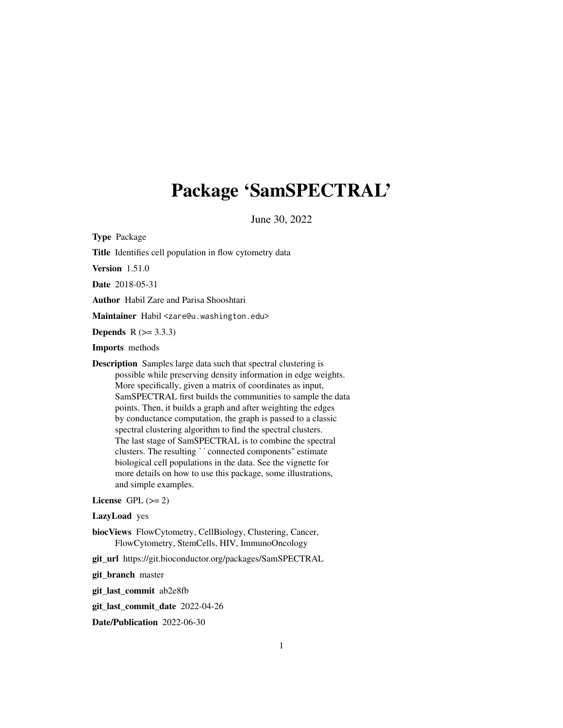# <span id="page-0-0"></span>Package 'SamSPECTRAL'

June 30, 2022

Type Package

Title Identifies cell population in flow cytometry data

Version 1.51.0

Date 2018-05-31

Author Habil Zare and Parisa Shooshtari

Maintainer Habil <zare@u.washington.edu>

**Depends**  $R (= 3.3.3)$ 

Imports methods

Description Samples large data such that spectral clustering is possible while preserving density information in edge weights. More specifically, given a matrix of coordinates as input, SamSPECTRAL first builds the communities to sample the data points. Then, it builds a graph and after weighting the edges by conductance computation, the graph is passed to a classic spectral clustering algorithm to find the spectral clusters. The last stage of SamSPECTRAL is to combine the spectral by conductance computation, the graph is passed to a class.<br>spectral clustering algorithm to find the spectral clusters.<br>The last stage of SamSPECTRAL is to combine the spectricusters. The resulting ``connected components' biological cell populations in the data. See the vignette for more details on how to use this package, some illustrations, and simple examples.

License GPL  $(>= 2)$ 

LazyLoad yes

biocViews FlowCytometry, CellBiology, Clustering, Cancer, FlowCytometry, StemCells, HIV, ImmunoOncology

git\_url https://git.bioconductor.org/packages/SamSPECTRAL

git\_branch master

git\_last\_commit ab2e8fb

git\_last\_commit\_date 2022-04-26

Date/Publication 2022-06-30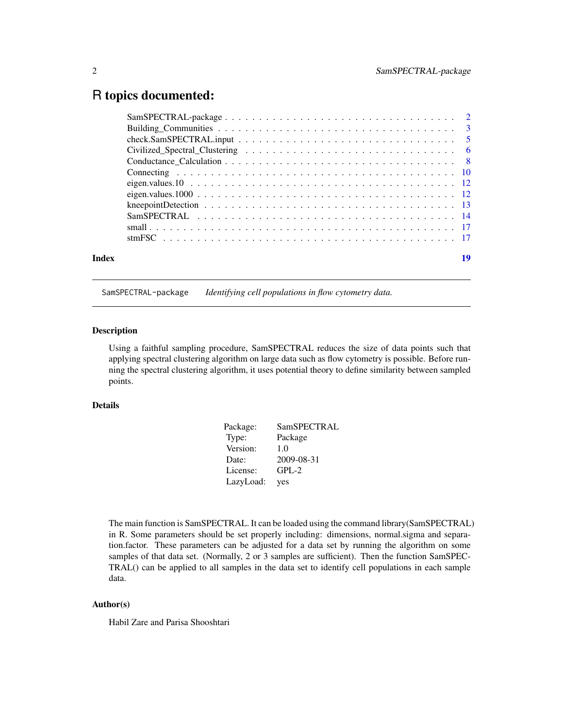# <span id="page-1-0"></span>R topics documented:

| Index | 19 |
|-------|----|
|       |    |

SamSPECTRAL-package *Identifying cell populations in flow cytometry data.*

#### Description

Using a faithful sampling procedure, SamSPECTRAL reduces the size of data points such that applying spectral clustering algorithm on large data such as flow cytometry is possible. Before running the spectral clustering algorithm, it uses potential theory to define similarity between sampled points.

# Details

| Package:  | SamSPECTRAL |
|-----------|-------------|
| Type:     | Package     |
| Version:  | 1.0         |
| Date:     | 2009-08-31  |
| License:  | $GPL-2$     |
| LazyLoad: | yes         |

The main function is SamSPECTRAL. It can be loaded using the command library(SamSPECTRAL) in R. Some parameters should be set properly including: dimensions, normal.sigma and separation.factor. These parameters can be adjusted for a data set by running the algorithm on some samples of that data set. (Normally, 2 or 3 samples are sufficient). Then the function SamSPEC-TRAL() can be applied to all samples in the data set to identify cell populations in each sample data.

# Author(s)

Habil Zare and Parisa Shooshtari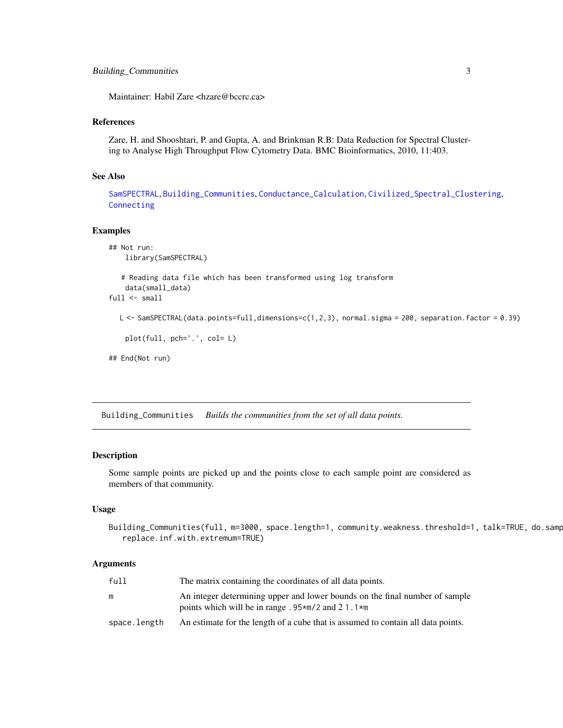<span id="page-2-0"></span>Maintainer: Habil Zare <hzare@bccrc.ca>

#### References

Zare, H. and Shooshtari, P. and Gupta, A. and Brinkman R.B: Data Reduction for Spectral Clustering to Analyse High Throughput Flow Cytometry Data. BMC Bioinformatics, 2010, 11:403.

## See Also

[SamSPECTRAL](#page-13-1), [Building\\_Communities](#page-2-1), [Conductance\\_Calculation](#page-7-1), [Civilized\\_Spectral\\_Clustering](#page-5-1), [Connecting](#page-9-1)

#### Examples

```
## Not run:
   library(SamSPECTRAL)
   # Reading data file which has been transformed using log transform
   data(small_data)
full <- small
  L <- SamSPECTRAL(data.points=full,dimensions=c(1,2,3), normal.sigma = 200, separation.factor = 0.39)
   plot(full, pch='.', col= L)
## End(Not run)
```
<span id="page-2-1"></span>Building\_Communities *Builds the communities from the set of all data points.*

### Description

Some sample points are picked up and the points close to each sample point are considered as members of that community.

#### Usage

```
Building_Communities(full, m=3000, space.length=1, community.weakness.threshold=1, talk=TRUE, do.samp
   replace.inf.with.extremum=TRUE)
```
#### Arguments

| full         | The matrix containing the coordinates of all data points.                                                                                        |
|--------------|--------------------------------------------------------------------------------------------------------------------------------------------------|
| m            | An integer determining upper and lower bounds on the final number of sample<br>points which will be in range $.95 \times m/2$ and 21.1 $\star$ m |
| space.length | An estimate for the length of a cube that is assumed to contain all data points.                                                                 |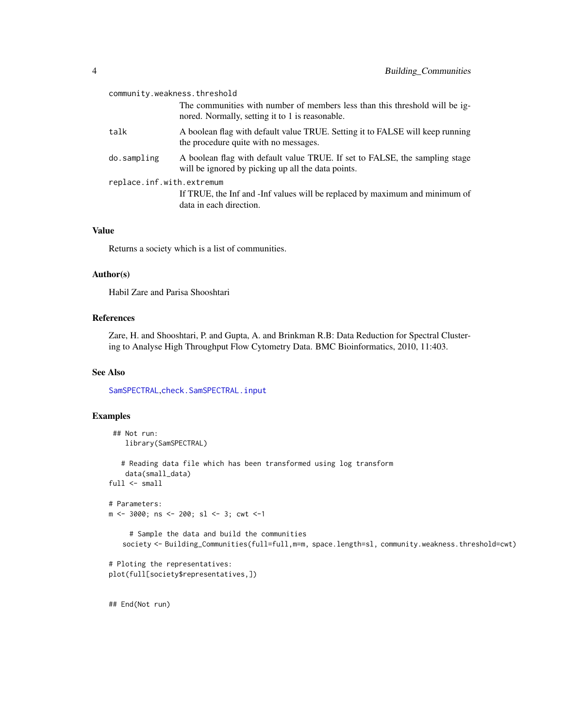<span id="page-3-0"></span>

| community.weakness.threshold |                                                                                                                                   |  |
|------------------------------|-----------------------------------------------------------------------------------------------------------------------------------|--|
|                              | The communities with number of members less than this threshold will be ig-<br>nored. Normally, setting it to 1 is reasonable.    |  |
| talk                         | A boolean flag with default value TRUE. Setting it to FALSE will keep running<br>the procedure quite with no messages.            |  |
| do.sampling                  | A boolean flag with default value TRUE. If set to FALSE, the sampling stage<br>will be ignored by picking up all the data points. |  |
| replace.inf.with.extremum    |                                                                                                                                   |  |
|                              | If TRUE, the Inf and -Inf values will be replaced by maximum and minimum of<br>data in each direction.                            |  |

#### Value

Returns a society which is a list of communities.

#### Author(s)

Habil Zare and Parisa Shooshtari

# References

Zare, H. and Shooshtari, P. and Gupta, A. and Brinkman R.B: Data Reduction for Spectral Clustering to Analyse High Throughput Flow Cytometry Data. BMC Bioinformatics, 2010, 11:403.

# See Also

[SamSPECTRAL](#page-13-1),[check.SamSPECTRAL.input](#page-4-1)

# Examples

```
## Not run:
   library(SamSPECTRAL)
  # Reading data file which has been transformed using log transform
   data(small_data)
full \leftarrow small# Parameters:
m <- 3000; ns <- 200; sl <- 3; cwt <-1
     # Sample the data and build the communities
   society <- Building_Communities(full=full,m=m, space.length=sl, community.weakness.threshold=cwt)
# Ploting the representatives:
plot(full[society$representatives,])
```
## End(Not run)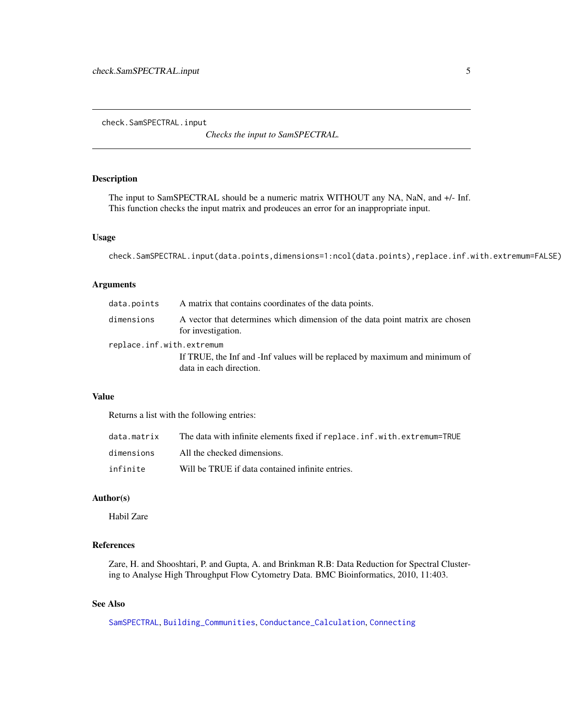<span id="page-4-1"></span><span id="page-4-0"></span>check.SamSPECTRAL.input

*Checks the input to SamSPECTRAL.*

#### Description

The input to SamSPECTRAL should be a numeric matrix WITHOUT any NA, NaN, and +/- Inf. This function checks the input matrix and prodeuces an error for an inappropriate input.

# Usage

check.SamSPECTRAL.input(data.points,dimensions=1:ncol(data.points),replace.inf.with.extremum=FALSE)

### Arguments

| data.points               | A matrix that contains coordinates of the data points.                                                 |
|---------------------------|--------------------------------------------------------------------------------------------------------|
| dimensions                | A vector that determines which dimension of the data point matrix are chosen<br>for investigation.     |
| replace.inf.with.extremum | If TRUE, the Inf and -Inf values will be replaced by maximum and minimum of<br>data in each direction. |

# Value

Returns a list with the following entries:

| data.matrix | The data with infinite elements fixed if replace.inf.with.extremum=TRUE |
|-------------|-------------------------------------------------------------------------|
| dimensions  | All the checked dimensions.                                             |
| infinite    | Will be TRUE if data contained infinite entries.                        |

# Author(s)

Habil Zare

# References

Zare, H. and Shooshtari, P. and Gupta, A. and Brinkman R.B: Data Reduction for Spectral Clustering to Analyse High Throughput Flow Cytometry Data. BMC Bioinformatics, 2010, 11:403.

# See Also

[SamSPECTRAL](#page-13-1), [Building\\_Communities](#page-2-1), [Conductance\\_Calculation](#page-7-1), [Connecting](#page-9-1)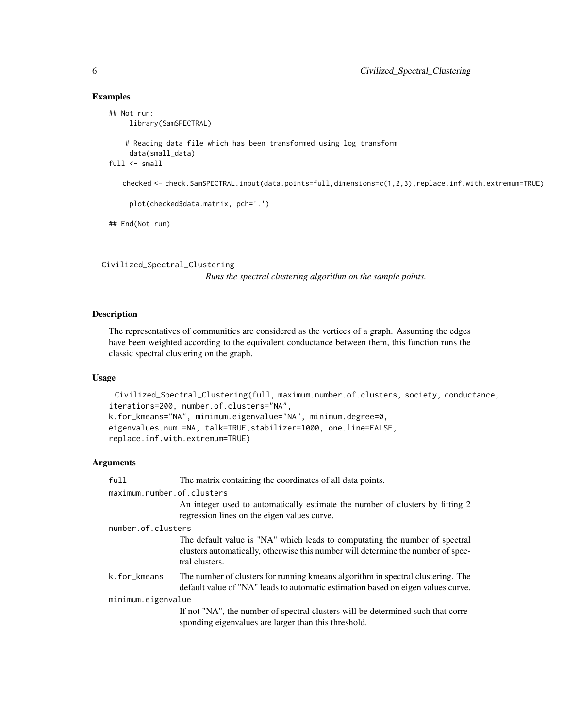#### Examples

```
## Not run:
    library(SamSPECTRAL)
    # Reading data file which has been transformed using log transform
    data(small_data)
full \leq small
   checked <- check.SamSPECTRAL.input(data.points=full,dimensions=c(1,2,3),replace.inf.with.extremum=TRUE)
     plot(checked$data.matrix, pch='.')
## End(Not run)
```

```
Civilized_Spectral_Clustering
```
*Runs the spectral clustering algorithm on the sample points.*

# Description

The representatives of communities are considered as the vertices of a graph. Assuming the edges have been weighted according to the equivalent conductance between them, this function runs the classic spectral clustering on the graph.

# Usage

```
Civilized_Spectral_Clustering(full, maximum.number.of.clusters, society, conductance,
iterations=200, number.of.clusters="NA",
k.for_kmeans="NA", minimum.eigenvalue="NA", minimum.degree=0,
eigenvalues.num =NA, talk=TRUE,stabilizer=1000, one.line=FALSE,
replace.inf.with.extremum=TRUE)
```
#### Arguments

| full               | The matrix containing the coordinates of all data points.                                                                                                                         |  |  |
|--------------------|-----------------------------------------------------------------------------------------------------------------------------------------------------------------------------------|--|--|
|                    | maximum.number.of.clusters                                                                                                                                                        |  |  |
|                    | An integer used to automatically estimate the number of clusters by fitting 2<br>regression lines on the eigen values curve.                                                      |  |  |
| number.of.clusters |                                                                                                                                                                                   |  |  |
|                    | The default value is "NA" which leads to computating the number of spectral<br>clusters automatically, otherwise this number will determine the number of spec-<br>tral clusters. |  |  |
| k.for_kmeans       | The number of clusters for running kmeans algorithm in spectral clustering. The<br>default value of "NA" leads to automatic estimation based on eigen values curve.               |  |  |
| minimum.eigenvalue |                                                                                                                                                                                   |  |  |
|                    | If not "NA", the number of spectral clusters will be determined such that corre-<br>sponding eigenvalues are larger than this threshold.                                          |  |  |

<span id="page-5-0"></span>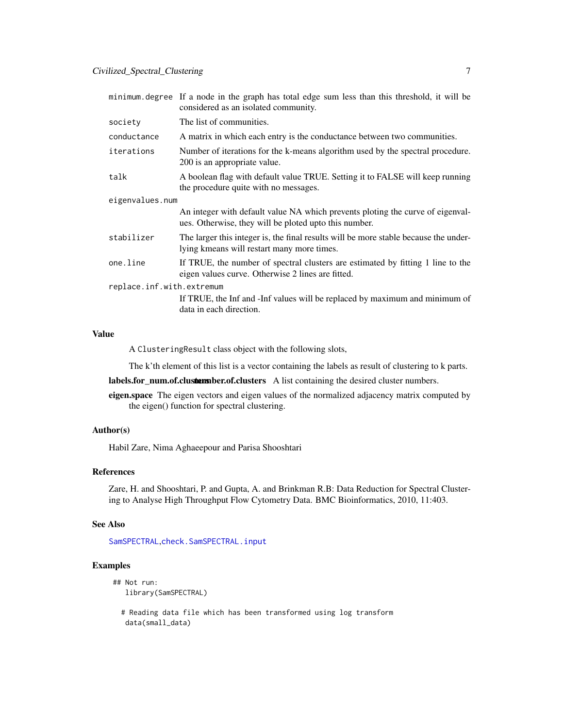<span id="page-6-0"></span>

|                           | minimum degree If a node in the graph has total edge sum less than this threshold, it will be<br>considered as an isolated community.   |  |
|---------------------------|-----------------------------------------------------------------------------------------------------------------------------------------|--|
| society                   | The list of communities.                                                                                                                |  |
| conductance               | A matrix in which each entry is the conductance between two communities.                                                                |  |
| iterations                | Number of iterations for the k-means algorithm used by the spectral procedure.<br>200 is an appropriate value.                          |  |
| talk                      | A boolean flag with default value TRUE. Setting it to FALSE will keep running<br>the procedure quite with no messages.                  |  |
| eigenvalues.num           |                                                                                                                                         |  |
|                           | An integer with default value NA which prevents ploting the curve of eigenval-<br>ues. Otherwise, they will be ploted upto this number. |  |
| stabilizer                | The larger this integer is, the final results will be more stable because the under-<br>lying kmeans will restart many more times.      |  |
| one.line                  | If TRUE, the number of spectral clusters are estimated by fitting 1 line to the<br>eigen values curve. Otherwise 2 lines are fitted.    |  |
| replace.inf.with.extremum |                                                                                                                                         |  |
|                           | If TRUE, the Inf and -Inf values will be replaced by maximum and minimum of<br>data in each direction.                                  |  |
|                           |                                                                                                                                         |  |

# Value

A ClusteringResult class object with the following slots,

The k'th element of this list is a vector containing the labels as result of clustering to k parts.

labels.for\_num.of.clusters husber.of.clusters A list containing the desired cluster numbers.

eigen.space The eigen vectors and eigen values of the normalized adjacency matrix computed by the eigen() function for spectral clustering.

### Author(s)

Habil Zare, Nima Aghaeepour and Parisa Shooshtari

# References

Zare, H. and Shooshtari, P. and Gupta, A. and Brinkman R.B: Data Reduction for Spectral Clustering to Analyse High Throughput Flow Cytometry Data. BMC Bioinformatics, 2010, 11:403.

#### See Also

[SamSPECTRAL](#page-13-1),[check.SamSPECTRAL.input](#page-4-1)

# Examples

```
## Not run:
  library(SamSPECTRAL)
```
# Reading data file which has been transformed using log transform data(small\_data)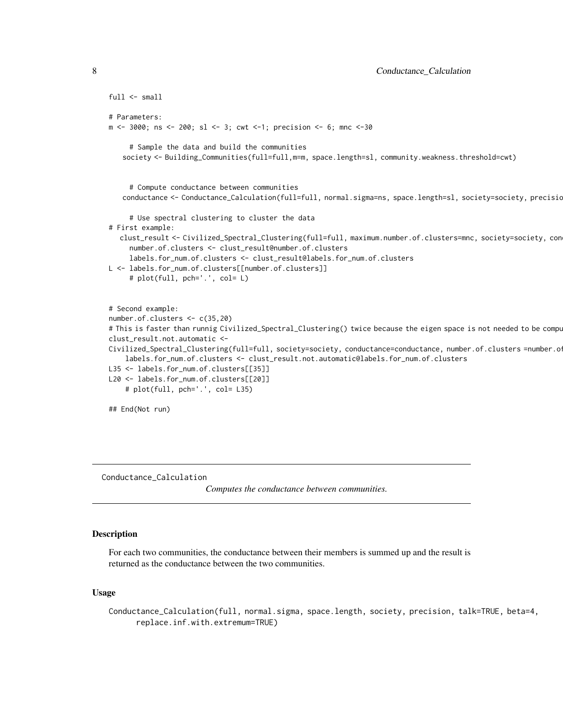```
full \leftarrow small# Parameters:
m <- 3000; ns <- 200; sl <- 3; cwt <-1; precision <- 6; mnc <-30
     # Sample the data and build the communities
   society <- Building_Communities(full=full,m=m, space.length=sl, community.weakness.threshold=cwt)
     # Compute conductance between communities
   conductance <- Conductance_Calculation(full=full, normal.sigma=ns, space.length=sl, society=society, precisio
     # Use spectral clustering to cluster the data
# First example:
  clust_result <- Civilized_Spectral_Clustering(full=full, maximum.number.of.clusters=mnc, society=society, con
     number.of.clusters <- clust_result@number.of.clusters
     labels.for_num.of.clusters <- clust_result@labels.for_num.of.clusters
L <- labels.for_num.of.clusters[[number.of.clusters]]
     # plot(full, pch='.', col= L)
# Second example:
number.of.clusters <- c(35,20)
# This is faster than runnig Civilized_Spectral_Clustering() twice because the eigen space is not needed to be compu
clust_result.not.automatic <-
Civilized_Spectral_Clustering(full=full, society=society, conductance=conductance, number.of.clusters=number.o
    labels.for_num.of.clusters <- clust_result.not.automatic@labels.for_num.of.clusters
L35 <- labels.for_num.of.clusters[[35]]
L20 <- labels.for_num.of.clusters[[20]]
    # plot(full, pch='.', col= L35)
## End(Not run)
```
<span id="page-7-1"></span>Conductance\_Calculation

*Computes the conductance between communities.*

# Description

For each two communities, the conductance between their members is summed up and the result is returned as the conductance between the two communities.

# Usage

Conductance\_Calculation(full, normal.sigma, space.length, society, precision, talk=TRUE, beta=4, replace.inf.with.extremum=TRUE)

<span id="page-7-0"></span>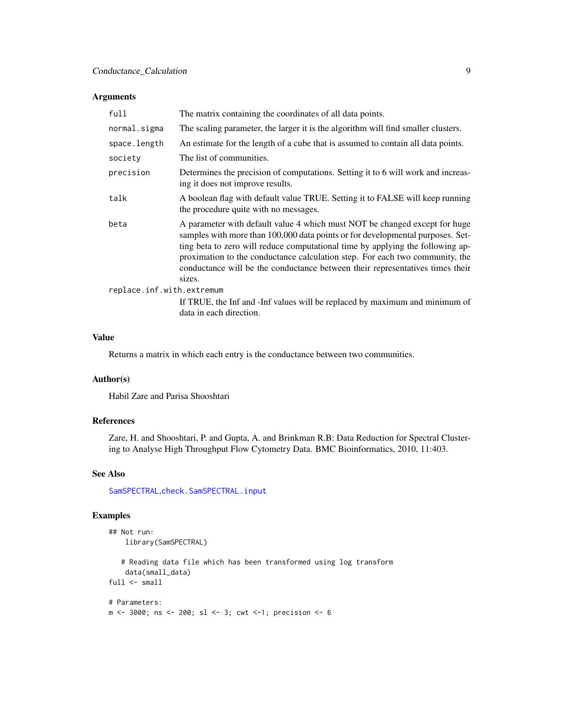# <span id="page-8-0"></span>Arguments

| full                      | The matrix containing the coordinates of all data points.                                                                                                                                                                                                                                                                                                                                                                 |
|---------------------------|---------------------------------------------------------------------------------------------------------------------------------------------------------------------------------------------------------------------------------------------------------------------------------------------------------------------------------------------------------------------------------------------------------------------------|
| normal.sigma              | The scaling parameter, the larger it is the algorithm will find smaller clusters.                                                                                                                                                                                                                                                                                                                                         |
| space.length              | An estimate for the length of a cube that is assumed to contain all data points.                                                                                                                                                                                                                                                                                                                                          |
| society                   | The list of communities.                                                                                                                                                                                                                                                                                                                                                                                                  |
| precision                 | Determines the precision of computations. Setting it to 6 will work and increas-<br>ing it does not improve results.                                                                                                                                                                                                                                                                                                      |
| talk                      | A boolean flag with default value TRUE. Setting it to FALSE will keep running<br>the procedure quite with no messages.                                                                                                                                                                                                                                                                                                    |
| beta                      | A parameter with default value 4 which must NOT be changed except for huge<br>samples with more than 100,000 data points or for developmental purposes. Set-<br>ting beta to zero will reduce computational time by applying the following ap-<br>proximation to the conductance calculation step. For each two community, the<br>conductance will be the conductance between their representatives times their<br>sizes. |
| replace.inf.with.extremum |                                                                                                                                                                                                                                                                                                                                                                                                                           |
|                           | If TRUE, the Inf and -Inf values will be replaced by maximum and minimum of<br>data in each direction.                                                                                                                                                                                                                                                                                                                    |

# Value

Returns a matrix in which each entry is the conductance between two communities.

# Author(s)

Habil Zare and Parisa Shooshtari

# References

Zare, H. and Shooshtari, P. and Gupta, A. and Brinkman R.B: Data Reduction for Spectral Clustering to Analyse High Throughput Flow Cytometry Data. BMC Bioinformatics, 2010, 11:403.

#### See Also

[SamSPECTRAL](#page-13-1),[check.SamSPECTRAL.input](#page-4-1)

# Examples

```
## Not run:
    library(SamSPECTRAL)
   # Reading data file which has been transformed using log transform
    data(small_data)
full \leftarrow small# Parameters:
m <- 3000; ns <- 200; sl <- 3; cwt <-1; precision <- 6
```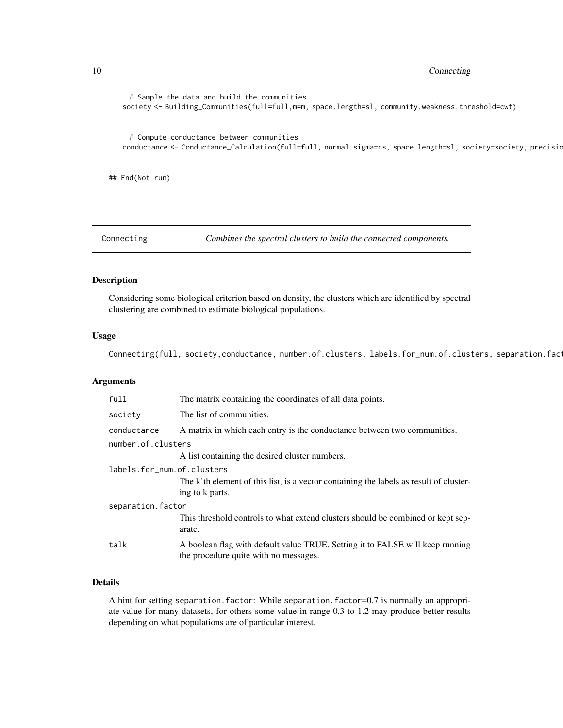<span id="page-9-0"></span>10 Connecting

```
# Sample the data and build the communities
   society <- Building_Communities(full=full,m=m, space.length=sl, community.weakness.threshold=cwt)
     # Compute conductance between communities
   conductance <- Conductance_Calculation(full=full, normal.sigma=ns, space.length=sl, society=society, precisio
## End(Not run)
```
<span id="page-9-1"></span>

Connecting *Combines the spectral clusters to build the connected components.*

# Description

Considering some biological criterion based on density, the clusters which are identified by spectral clustering are combined to estimate biological populations.

#### Usage

Connecting(full, society,conductance, number.of.clusters, labels.for\_num.of.clusters, separation.factor, talk

#### Arguments

| The matrix containing the coordinates of all data points.                                                              |  |  |
|------------------------------------------------------------------------------------------------------------------------|--|--|
| The list of communities.                                                                                               |  |  |
| A matrix in which each entry is the conductance between two communities.                                               |  |  |
| number.of.clusters                                                                                                     |  |  |
| A list containing the desired cluster numbers.                                                                         |  |  |
| labels.for num.of.clusters                                                                                             |  |  |
| The k'th element of this list, is a vector containing the labels as result of cluster-<br>ing to k parts.              |  |  |
| separation.factor                                                                                                      |  |  |
| This threshold controls to what extend clusters should be combined or kept sep-<br>arate.                              |  |  |
| A boolean flag with default value TRUE. Setting it to FALSE will keep running<br>the procedure quite with no messages. |  |  |
|                                                                                                                        |  |  |

# Details

A hint for setting separation.factor: While separation.factor=0.7 is normally an appropriate value for many datasets, for others some value in range 0.3 to 1.2 may produce better results depending on what populations are of particular interest.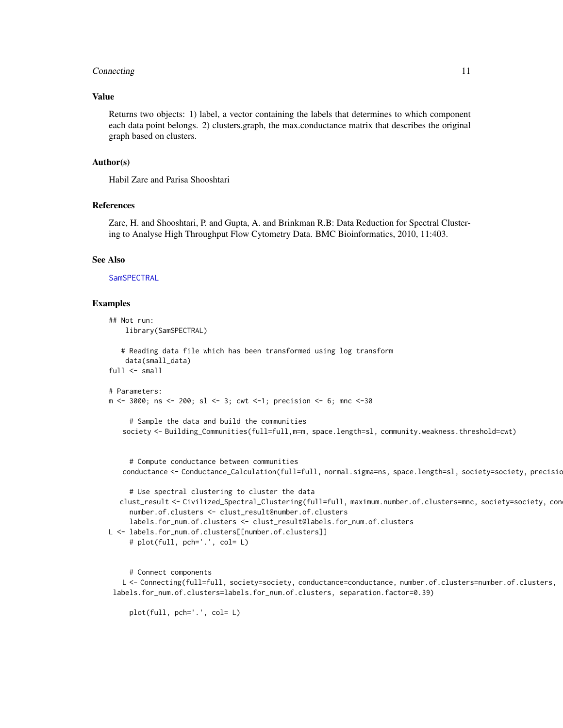#### <span id="page-10-0"></span>Connecting 2012 11 and 2012 11 and 2012 12:30 12:30 12:30 12:30 12:30 12:30 12:30 12:30 12:30 12:30 12:30 12:30 12:30 12:30 12:30 12:30 12:30 12:30 12:30 12:30 12:30 12:30 12:30 12:30 12:30 12:30 12:30 12:30 12:30 12:30 12

#### Value

Returns two objects: 1) label, a vector containing the labels that determines to which component each data point belongs. 2) clusters.graph, the max.conductance matrix that describes the original graph based on clusters.

#### Author(s)

Habil Zare and Parisa Shooshtari

# References

Zare, H. and Shooshtari, P. and Gupta, A. and Brinkman R.B: Data Reduction for Spectral Clustering to Analyse High Throughput Flow Cytometry Data. BMC Bioinformatics, 2010, 11:403.

#### See Also

**[SamSPECTRAL](#page-13-1)** 

#### Examples

```
## Not run:
   library(SamSPECTRAL)
   # Reading data file which has been transformed using log transform
   data(small_data)
full \leftarrow small# Parameters:
m <- 3000; ns <- 200; sl <- 3; cwt <-1; precision <- 6; mnc <-30
     # Sample the data and build the communities
   society <- Building_Communities(full=full,m=m, space.length=sl, community.weakness.threshold=cwt)
     # Compute conductance between communities
   conductance <- Conductance_Calculation(full=full, normal.sigma=ns, space.length=sl, society=society, precisio
     # Use spectral clustering to cluster the data
  clust_result <- Civilized_Spectral_Clustering(full=full, maximum.number.of.clusters=mnc, society=society, con
     number.of.clusters <- clust_result@number.of.clusters
     labels.for_num.of.clusters <- clust_result@labels.for_num.of.clusters
L <- labels.for_num.of.clusters[[number.of.clusters]]
     # plot(full, pch='.', col= L)
```
# Connect components

L <- Connecting(full=full, society=society, conductance=conductance, number.of.clusters=number.of.clusters, labels.for\_num.of.clusters=labels.for\_num.of.clusters, separation.factor=0.39)

plot(full, pch='.', col= L)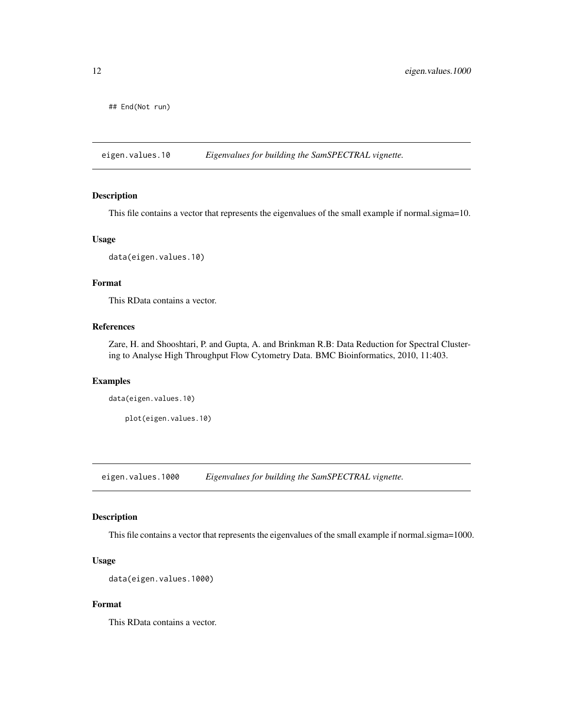<span id="page-11-0"></span>## End(Not run)

eigen.values.10 *Eigenvalues for building the SamSPECTRAL vignette.*

#### Description

This file contains a vector that represents the eigenvalues of the small example if normal.sigma=10.

# Usage

```
data(eigen.values.10)
```
# Format

This RData contains a vector.

# References

Zare, H. and Shooshtari, P. and Gupta, A. and Brinkman R.B: Data Reduction for Spectral Clustering to Analyse High Throughput Flow Cytometry Data. BMC Bioinformatics, 2010, 11:403.

#### Examples

data(eigen.values.10)

plot(eigen.values.10)

eigen.values.1000 *Eigenvalues for building the SamSPECTRAL vignette.*

# Description

This file contains a vector that represents the eigenvalues of the small example if normal.sigma=1000.

# Usage

```
data(eigen.values.1000)
```
#### Format

This RData contains a vector.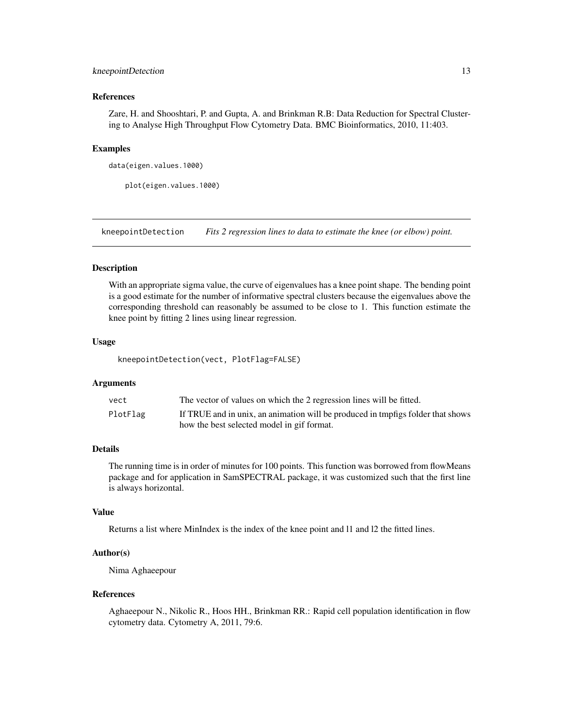# <span id="page-12-0"></span>kneepointDetection 13

#### References

Zare, H. and Shooshtari, P. and Gupta, A. and Brinkman R.B: Data Reduction for Spectral Clustering to Analyse High Throughput Flow Cytometry Data. BMC Bioinformatics, 2010, 11:403.

#### Examples

```
data(eigen.values.1000)
```
plot(eigen.values.1000)

kneepointDetection *Fits 2 regression lines to data to estimate the knee (or elbow) point.*

# Description

With an appropriate sigma value, the curve of eigenvalues has a knee point shape. The bending point is a good estimate for the number of informative spectral clusters because the eigenvalues above the corresponding threshold can reasonably be assumed to be close to 1. This function estimate the knee point by fitting 2 lines using linear regression.

#### Usage

kneepointDetection(vect, PlotFlag=FALSE)

#### Arguments

| vect     | The vector of values on which the 2 regression lines will be fitted.            |
|----------|---------------------------------------------------------------------------------|
| PlotFlag | If TRUE and in unix, an animation will be produced in tmpfigs folder that shows |
|          | how the best selected model in gif format.                                      |

# Details

The running time is in order of minutes for 100 points. This function was borrowed from flowMeans package and for application in SamSPECTRAL package, it was customized such that the first line is always horizontal.

#### Value

Returns a list where MinIndex is the index of the knee point and l1 and l2 the fitted lines.

#### Author(s)

Nima Aghaeepour

#### References

Aghaeepour N., Nikolic R., Hoos HH., Brinkman RR.: Rapid cell population identification in flow cytometry data. Cytometry A, 2011, 79:6.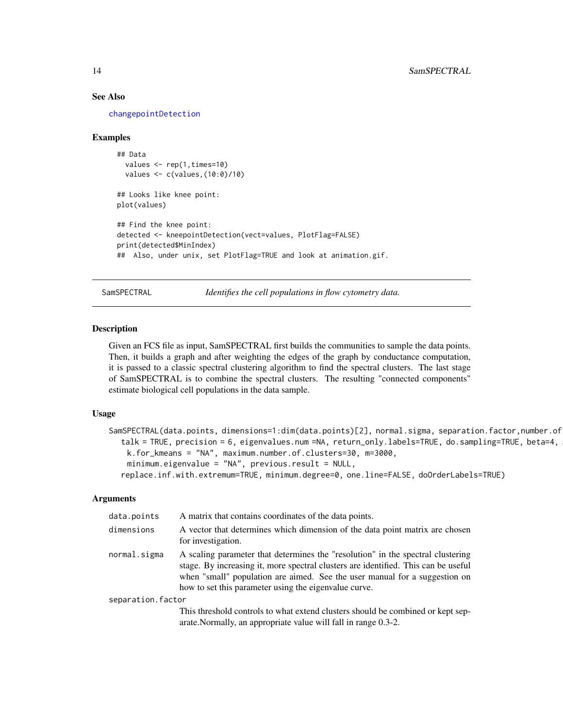#### See Also

[changepointDetection](#page-0-0)

#### Examples

```
## Data
 values \leq rep(1, times=10)
  values <- c(values,(10:0)/10)
```

```
## Looks like knee point:
plot(values)
```

```
## Find the knee point:
detected <- kneepointDetection(vect=values, PlotFlag=FALSE)
print(detected$MinIndex)
## Also, under unix, set PlotFlag=TRUE and look at animation.gif.
```
<span id="page-13-1"></span>SamSPECTRAL *Identifies the cell populations in flow cytometry data.*

#### Description

Given an FCS file as input, SamSPECTRAL first builds the communities to sample the data points. Then, it builds a graph and after weighting the edges of the graph by conductance computation, it is passed to a classic spectral clustering algorithm to find the spectral clusters. The last stage of SamSPECTRAL is to combine the spectral clusters. The resulting "connected components" estimate biological cell populations in the data sample.

# Usage

```
SamSPECTRAL(data.points, dimensions=1:dim(data.points)[2], normal.sigma, separation.factor,number.of
  talk = TRUE, precision = 6, eigenvalues.num =NA, return_only.labels=TRUE, do.sampling=TRUE, beta=4,
   k.for_kmeans = "NA", maximum.number.of.clusters=30, m=3000,
    minimum.eigenvalue = "NA", previous.result = NULL,
  replace.inf.with.extremum=TRUE, minimum.degree=0, one.line=FALSE, doOrderLabels=TRUE)
```
### Arguments

| data.points       | A matrix that contains coordinates of the data points.                                                                                                                                                                                                                                                       |
|-------------------|--------------------------------------------------------------------------------------------------------------------------------------------------------------------------------------------------------------------------------------------------------------------------------------------------------------|
| dimensions        | A vector that determines which dimension of the data point matrix are chosen<br>for investigation.                                                                                                                                                                                                           |
| normal.sigma      | A scaling parameter that determines the "resolution" in the spectral clustering<br>stage. By increasing it, more spectral clusters are identified. This can be useful<br>when "small" population are aimed. See the user manual for a suggestion on<br>how to set this parameter using the eigenvalue curve. |
| separation.factor |                                                                                                                                                                                                                                                                                                              |
|                   | This threshold controls to what extend clusters should be combined or kept sep-<br>arate. Normally, an appropriate value will fall in range 0.3-2.                                                                                                                                                           |

<span id="page-13-0"></span>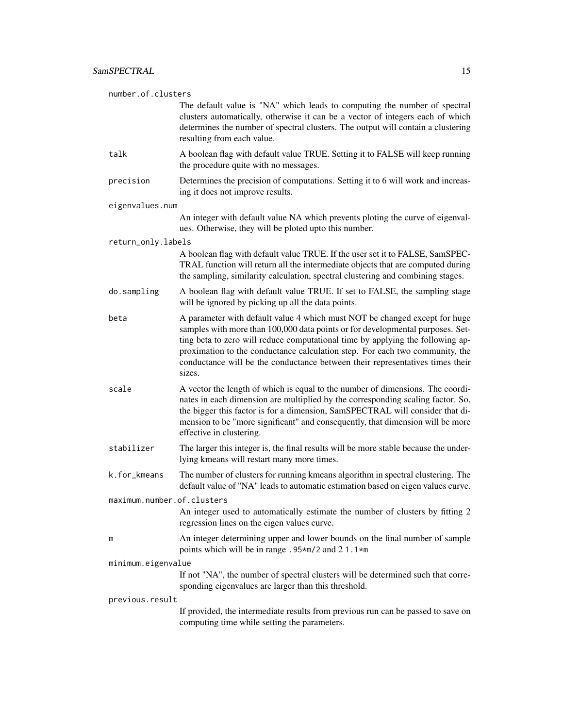| number.of.clusters         |                                                                                                                                                                                                                                                                                                                                                                                                                           |  |
|----------------------------|---------------------------------------------------------------------------------------------------------------------------------------------------------------------------------------------------------------------------------------------------------------------------------------------------------------------------------------------------------------------------------------------------------------------------|--|
|                            | The default value is "NA" which leads to computing the number of spectral<br>clusters automatically, otherwise it can be a vector of integers each of which<br>determines the number of spectral clusters. The output will contain a clustering<br>resulting from each value.                                                                                                                                             |  |
| talk                       | A boolean flag with default value TRUE. Setting it to FALSE will keep running<br>the procedure quite with no messages.                                                                                                                                                                                                                                                                                                    |  |
| precision                  | Determines the precision of computations. Setting it to 6 will work and increas-<br>ing it does not improve results.                                                                                                                                                                                                                                                                                                      |  |
| eigenvalues.num            |                                                                                                                                                                                                                                                                                                                                                                                                                           |  |
|                            | An integer with default value NA which prevents ploting the curve of eigenval-<br>ues. Otherwise, they will be ploted upto this number.                                                                                                                                                                                                                                                                                   |  |
| return_only.labels         |                                                                                                                                                                                                                                                                                                                                                                                                                           |  |
|                            | A boolean flag with default value TRUE. If the user set it to FALSE, SamSPEC-<br>TRAL function will return all the intermediate objects that are computed during<br>the sampling, similarity calculation, spectral clustering and combining stages.                                                                                                                                                                       |  |
| do.sampling                | A boolean flag with default value TRUE. If set to FALSE, the sampling stage<br>will be ignored by picking up all the data points.                                                                                                                                                                                                                                                                                         |  |
| beta                       | A parameter with default value 4 which must NOT be changed except for huge<br>samples with more than 100,000 data points or for developmental purposes. Set-<br>ting beta to zero will reduce computational time by applying the following ap-<br>proximation to the conductance calculation step. For each two community, the<br>conductance will be the conductance between their representatives times their<br>sizes. |  |
| scale                      | A vector the length of which is equal to the number of dimensions. The coordi-<br>nates in each dimension are multiplied by the corresponding scaling factor. So,<br>the bigger this factor is for a dimension, SamSPECTRAL will consider that di-<br>mension to be "more significant" and consequently, that dimension will be more<br>effective in clustering.                                                          |  |
| stabilizer                 | The larger this integer is, the final results will be more stable because the under-<br>lying kmeans will restart many more times.                                                                                                                                                                                                                                                                                        |  |
| k.for_kmeans               | The number of clusters for running kmeans algorithm in spectral clustering. The<br>default value of "NA" leads to automatic estimation based on eigen values curve.                                                                                                                                                                                                                                                       |  |
| maximum.number.of.clusters |                                                                                                                                                                                                                                                                                                                                                                                                                           |  |
|                            | An integer used to automatically estimate the number of clusters by fitting 2<br>regression lines on the eigen values curve.                                                                                                                                                                                                                                                                                              |  |
| m                          | An integer determining upper and lower bounds on the final number of sample<br>points which will be in range .95*m/2 and 21.1*m                                                                                                                                                                                                                                                                                           |  |
| minimum.eigenvalue         |                                                                                                                                                                                                                                                                                                                                                                                                                           |  |
|                            | If not "NA", the number of spectral clusters will be determined such that corre-<br>sponding eigenvalues are larger than this threshold.                                                                                                                                                                                                                                                                                  |  |
| previous.result            |                                                                                                                                                                                                                                                                                                                                                                                                                           |  |
|                            | If provided, the intermediate results from previous run can be passed to save on<br>computing time while setting the parameters.                                                                                                                                                                                                                                                                                          |  |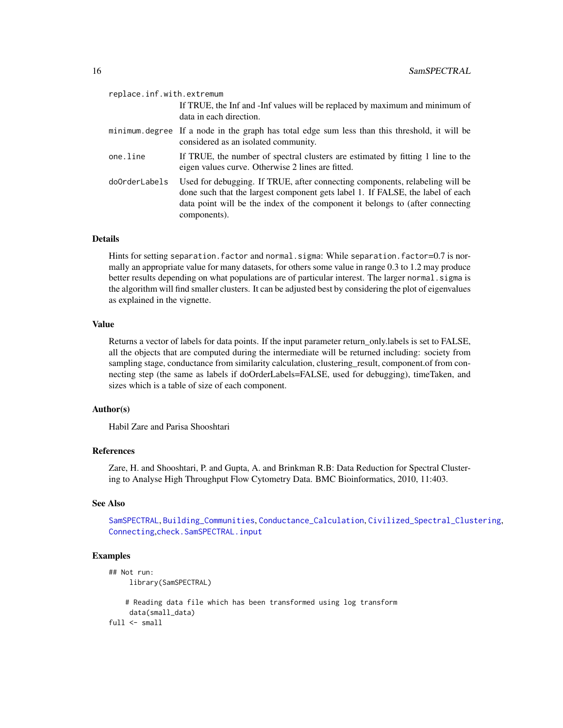<span id="page-15-0"></span>

| replace.inf.with.extremum |                                                                                                                                                                                                                                                                 |
|---------------------------|-----------------------------------------------------------------------------------------------------------------------------------------------------------------------------------------------------------------------------------------------------------------|
|                           | If TRUE, the Inf and -Inf values will be replaced by maximum and minimum of<br>data in each direction.                                                                                                                                                          |
|                           | minimum degree If a node in the graph has total edge sum less than this threshold, it will be<br>considered as an isolated community.                                                                                                                           |
| one.line                  | If TRUE, the number of spectral clusters are estimated by fitting 1 line to the<br>eigen values curve. Otherwise 2 lines are fitted.                                                                                                                            |
| doOrderLabels             | Used for debugging. If TRUE, after connecting components, relabeling will be<br>done such that the largest component gets label 1. If FALSE, the label of each<br>data point will be the index of the component it belongs to (after connecting<br>components). |

# Details

Hints for setting separation. factor and normal. sigma: While separation. factor=0.7 is normally an appropriate value for many datasets, for others some value in range 0.3 to 1.2 may produce better results depending on what populations are of particular interest. The larger normal. sigma is the algorithm will find smaller clusters. It can be adjusted best by considering the plot of eigenvalues as explained in the vignette.

#### Value

Returns a vector of labels for data points. If the input parameter return\_only.labels is set to FALSE, all the objects that are computed during the intermediate will be returned including: society from sampling stage, conductance from similarity calculation, clustering\_result, component.of from connecting step (the same as labels if doOrderLabels=FALSE, used for debugging), timeTaken, and sizes which is a table of size of each component.

### Author(s)

Habil Zare and Parisa Shooshtari

#### References

Zare, H. and Shooshtari, P. and Gupta, A. and Brinkman R.B: Data Reduction for Spectral Clustering to Analyse High Throughput Flow Cytometry Data. BMC Bioinformatics, 2010, 11:403.

#### See Also

[SamSPECTRAL](#page-13-1), [Building\\_Communities](#page-2-1), [Conductance\\_Calculation](#page-7-1), [Civilized\\_Spectral\\_Clustering](#page-5-1), [Connecting](#page-9-1),[check.SamSPECTRAL.input](#page-4-1)

#### Examples

```
## Not run:
     library(SamSPECTRAL)
    # Reading data file which has been transformed using log transform
     data(small_data)
full \leftarrow small
```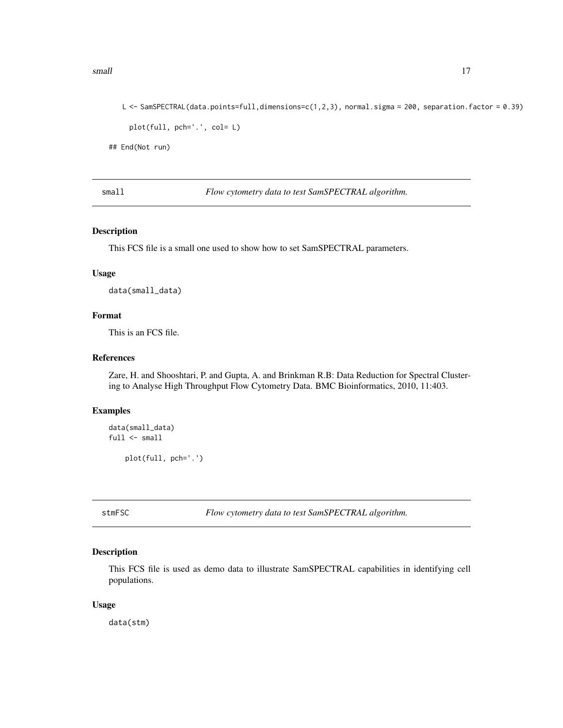#### <span id="page-16-0"></span>small the small set of the state of the state of the state of the state of the state of the state of the state of the state of the state of the state of the state of the state of the state of the state of the state of the

```
L <- SamSPECTRAL(data.points=full,dimensions=c(1,2,3), normal.sigma = 200, separation.factor = 0.39)
 plot(full, pch='.', col= L)
```
## End(Not run)

small *Flow cytometry data to test SamSPECTRAL algorithm.*

#### Description

This FCS file is a small one used to show how to set SamSPECTRAL parameters.

#### Usage

data(small\_data)

# Format

This is an FCS file.

# References

Zare, H. and Shooshtari, P. and Gupta, A. and Brinkman R.B: Data Reduction for Spectral Clustering to Analyse High Throughput Flow Cytometry Data. BMC Bioinformatics, 2010, 11:403.

#### Examples

```
data(small_data)
full \leftarrow smallplot(full, pch='.')
```
stmFSC *Flow cytometry data to test SamSPECTRAL algorithm.*

# Description

This FCS file is used as demo data to illustrate SamSPECTRAL capabilities in identifying cell populations.

#### Usage

data(stm)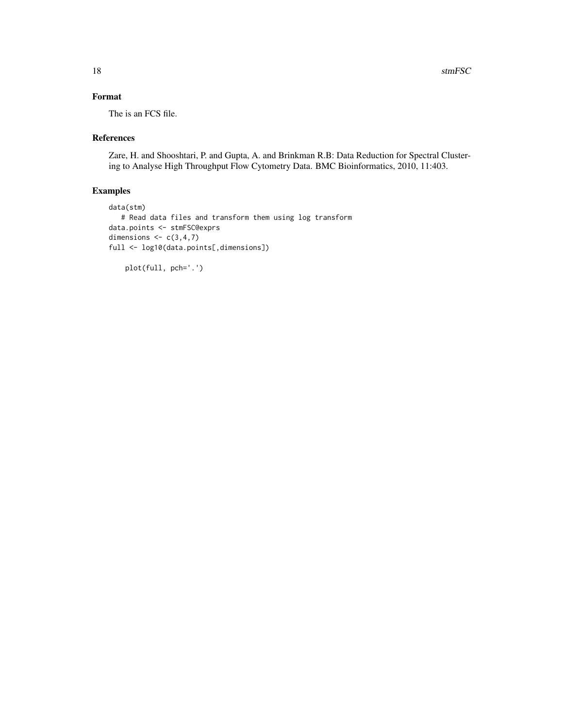# Format

The is an FCS file.

# References

Zare, H. and Shooshtari, P. and Gupta, A. and Brinkman R.B: Data Reduction for Spectral Clustering to Analyse High Throughput Flow Cytometry Data. BMC Bioinformatics, 2010, 11:403.

# Examples

```
data(stm)
  # Read data files and transform them using log transform
data.points <- stmFSC@exprs
dimensions \leq c(3,4,7)full <- log10(data.points[,dimensions])
```

```
plot(full, pch='.')
```